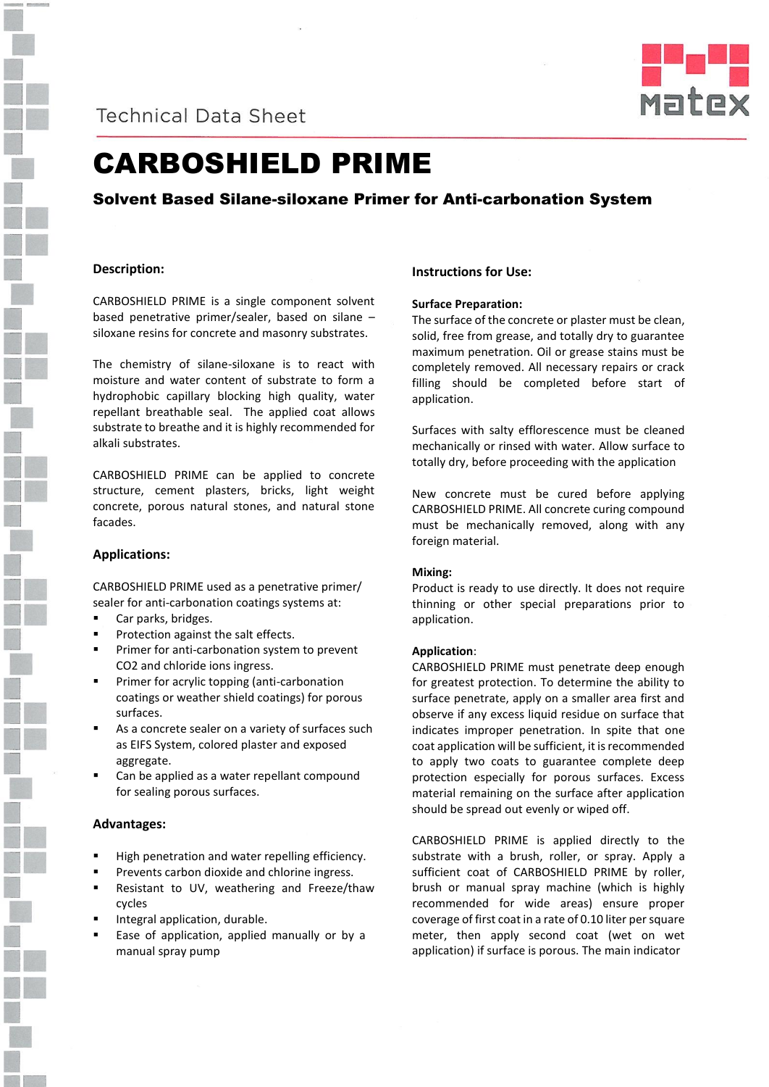

**Technical Data Sheet** 



# CARBOSHIELD PRIME

### Solvent Based Silane-siloxane Primer for Anti-carbonation System

#### **Description:**

CARBOSHIELD PRIME is a single component solvent based penetrative primer/sealer, based on silane – siloxane resins for concrete and masonry substrates.

The chemistry of silane-siloxane is to react with moisture and water content of substrate to form a hydrophobic capillary blocking high quality, water repellant breathable seal. The applied coat allows substrate to breathe and it is highly recommended for alkali substrates.

CARBOSHIELD PRIME can be applied to concrete structure, cement plasters, bricks, light weight concrete, porous natural stones, and natural stone facades.

#### **Applications:**

CARBOSHIELD PRIME used as a penetrative primer/ sealer for anti-carbonation coatings systems at:

- Car parks, bridges.
- Protection against the salt effects.
- Primer for anti-carbonation system to prevent CO2 and chloride ions ingress.
- Primer for acrylic topping (anti-carbonation coatings or weather shield coatings) for porous surfaces.
- As a concrete sealer on a variety of surfaces such as EIFS System, colored plaster and exposed aggregate.
- Can be applied as a water repellant compound for sealing porous surfaces.

#### **Advantages:**

- High penetration and water repelling efficiency.
- Prevents carbon dioxide and chlorine ingress.
- Resistant to UV, weathering and Freeze/thaw cycles
- Integral application, durable.
- Ease of application, applied manually or by a manual spray pump

#### **Instructions for Use:**

#### **Surface Preparation:**

The surface of the concrete or plaster must be clean, solid, free from grease, and totally dry to guarantee maximum penetration. Oil or grease stains must be completely removed. All necessary repairs or crack filling should be completed before start of application.

Surfaces with salty efflorescence must be cleaned mechanically or rinsed with water. Allow surface to totally dry, before proceeding with the application

New concrete must be cured before applying CARBOSHIELD PRIME. All concrete curing compound must be mechanically removed, along with any foreign material.

#### **Mixing:**

Product is ready to use directly. It does not require thinning or other special preparations prior to application.

#### **Application**:

CARBOSHIELD PRIME must penetrate deep enough for greatest protection. To determine the ability to surface penetrate, apply on a smaller area first and observe if any excess liquid residue on surface that indicates improper penetration. In spite that one coat application will be sufficient, it is recommended to apply two coats to guarantee complete deep protection especially for porous surfaces. Excess material remaining on the surface after application should be spread out evenly or wiped off.

CARBOSHIELD PRIME is applied directly to the substrate with a brush, roller, or spray. Apply a sufficient coat of CARBOSHIELD PRIME by roller, brush or manual spray machine (which is highly recommended for wide areas) ensure proper coverage of first coat in a rate of 0.10 liter per square meter, then apply second coat (wet on wet application) if surface is porous. The main indicator